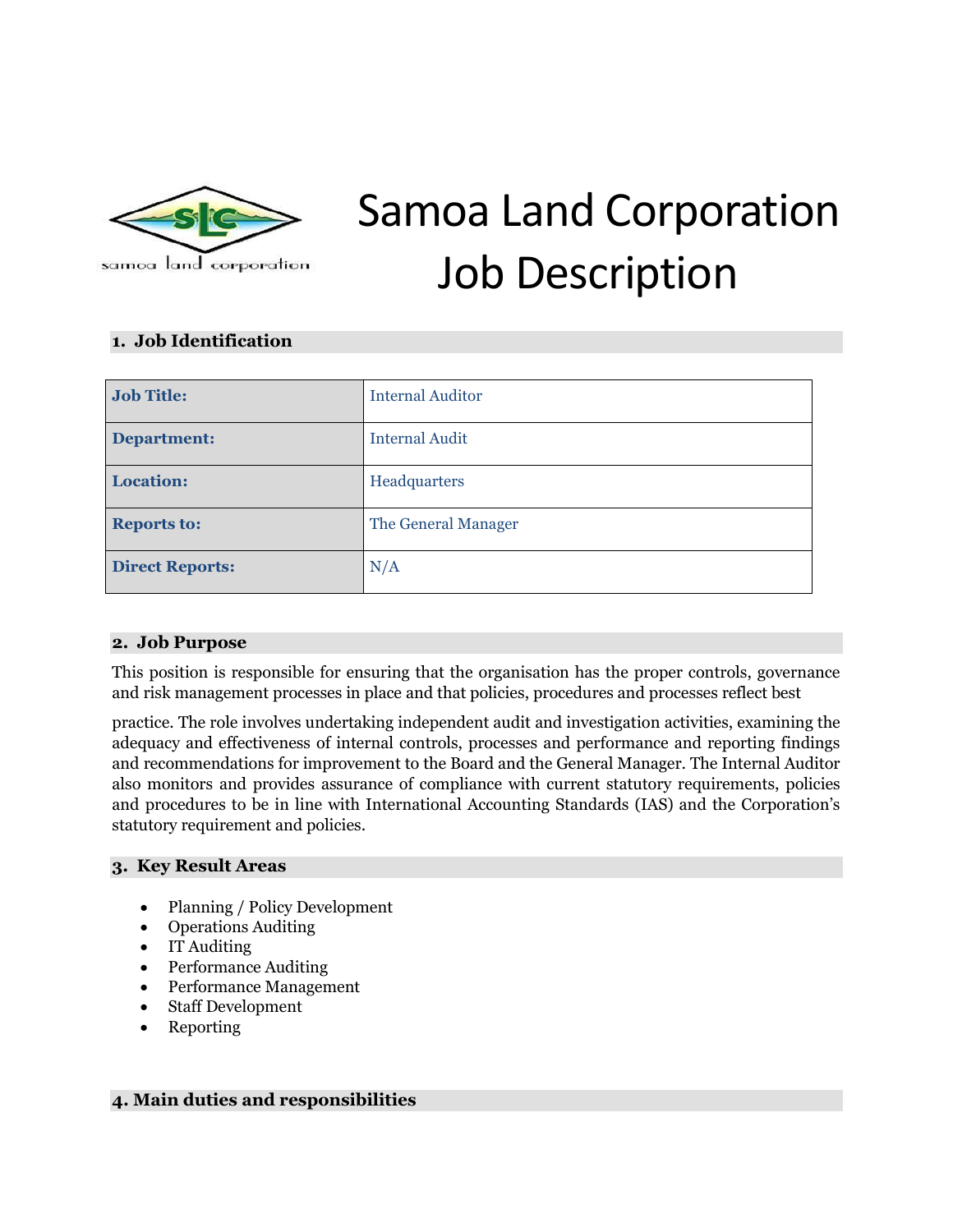

# Samoa Land Corporation Job Description

#### **1. Job Identification**

| <b>Job Title:</b>      | <b>Internal Auditor</b> |
|------------------------|-------------------------|
| Department:            | <b>Internal Audit</b>   |
| <b>Location:</b>       | Headquarters            |
| <b>Reports to:</b>     | The General Manager     |
| <b>Direct Reports:</b> | N/A                     |

#### **2. Job Purpose**

This position is responsible for ensuring that the organisation has the proper controls, governance and risk management processes in place and that policies, procedures and processes reflect best

practice. The role involves undertaking independent audit and investigation activities, examining the adequacy and effectiveness of internal controls, processes and performance and reporting findings and recommendations for improvement to the Board and the General Manager. The Internal Auditor also monitors and provides assurance of compliance with current statutory requirements, policies and procedures to be in line with International Accounting Standards (IAS) and the Corporation's statutory requirement and policies.

#### **3. Key Result Areas**

- Planning / Policy Development
- Operations Auditing
- IT Auditing
- Performance Auditing
- Performance Management
- Staff Development
- Reporting

## **4. Main duties and responsibilities**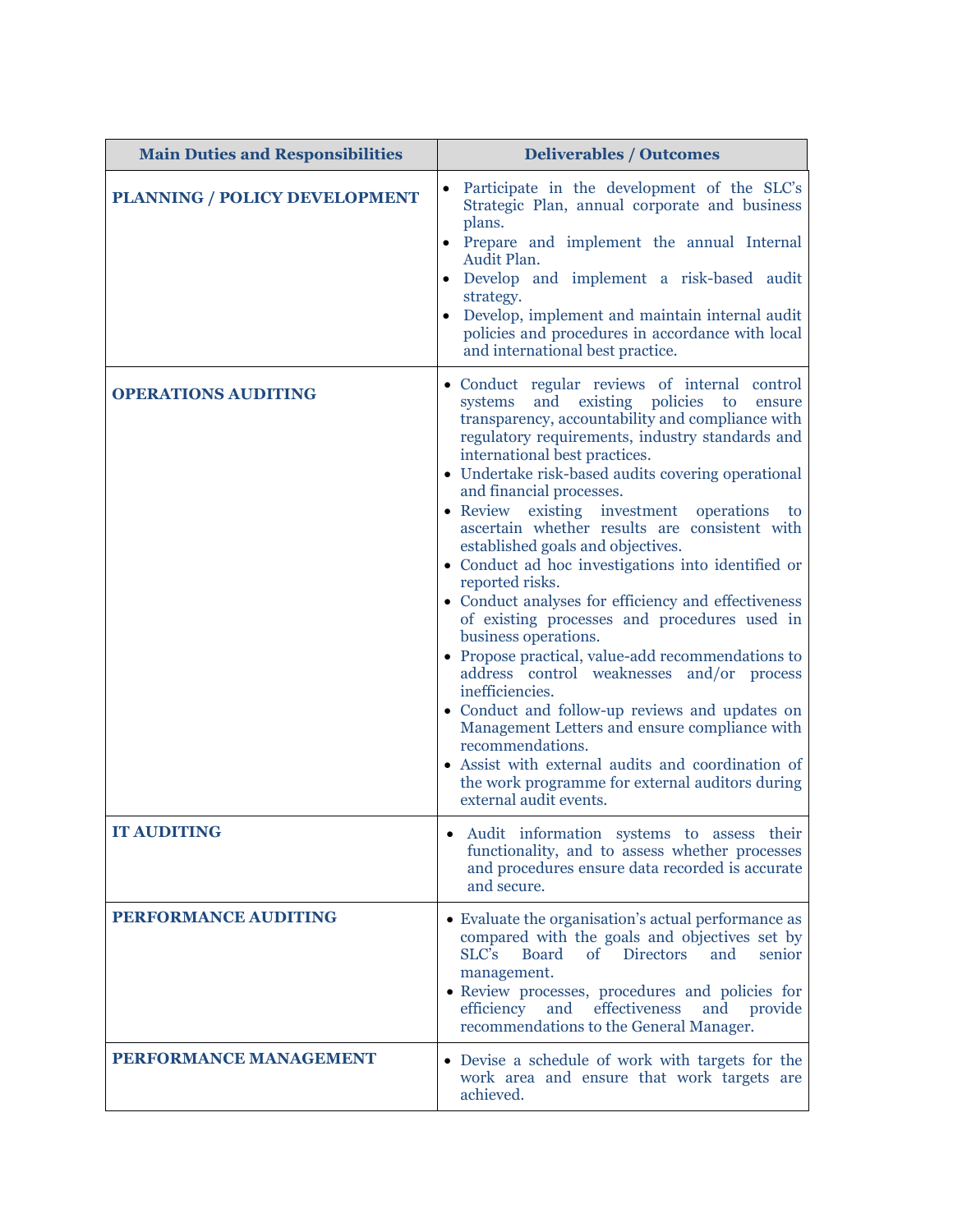| <b>Main Duties and Responsibilities</b> | <b>Deliverables / Outcomes</b>                                                                                                                                                                                                                                                                                                                                                                                                                                                                                                                                                                                                                                                                                                                                                                                                                                                                                                                                                                                                                              |  |
|-----------------------------------------|-------------------------------------------------------------------------------------------------------------------------------------------------------------------------------------------------------------------------------------------------------------------------------------------------------------------------------------------------------------------------------------------------------------------------------------------------------------------------------------------------------------------------------------------------------------------------------------------------------------------------------------------------------------------------------------------------------------------------------------------------------------------------------------------------------------------------------------------------------------------------------------------------------------------------------------------------------------------------------------------------------------------------------------------------------------|--|
| PLANNING / POLICY DEVELOPMENT           | Participate in the development of the SLC's<br>Strategic Plan, annual corporate and business<br>plans.<br>Prepare and implement the annual Internal<br>Audit Plan.<br>Develop and implement a risk-based audit<br>strategy.<br>Develop, implement and maintain internal audit<br>policies and procedures in accordance with local<br>and international best practice.                                                                                                                                                                                                                                                                                                                                                                                                                                                                                                                                                                                                                                                                                       |  |
| <b>OPERATIONS AUDITING</b>              | · Conduct regular reviews of internal control<br>and<br>existing policies<br>systems<br>to<br>ensure<br>transparency, accountability and compliance with<br>regulatory requirements, industry standards and<br>international best practices.<br>• Undertake risk-based audits covering operational<br>and financial processes.<br>• Review existing investment operations<br>to<br>ascertain whether results are consistent with<br>established goals and objectives.<br>• Conduct ad hoc investigations into identified or<br>reported risks.<br>• Conduct analyses for efficiency and effectiveness<br>of existing processes and procedures used in<br>business operations.<br>• Propose practical, value-add recommendations to<br>address control weaknesses and/or process<br>inefficiencies.<br>• Conduct and follow-up reviews and updates on<br>Management Letters and ensure compliance with<br>recommendations.<br>• Assist with external audits and coordination of<br>the work programme for external auditors during<br>external audit events. |  |
| IT AUDITING                             | • Audit information systems to assess their<br>functionality, and to assess whether processes<br>and procedures ensure data recorded is accurate<br>and secure.                                                                                                                                                                                                                                                                                                                                                                                                                                                                                                                                                                                                                                                                                                                                                                                                                                                                                             |  |
| <b>PERFORMANCE AUDITING</b>             | • Evaluate the organisation's actual performance as<br>compared with the goals and objectives set by<br>SLC's<br><b>Board</b><br><b>Directors</b><br>$\sigma$<br>and<br>senior<br>management.<br>• Review processes, procedures and policies for<br>effectiveness<br>efficiency<br>and<br>and<br>provide<br>recommendations to the General Manager.                                                                                                                                                                                                                                                                                                                                                                                                                                                                                                                                                                                                                                                                                                         |  |
| PERFORMANCE MANAGEMENT                  | • Devise a schedule of work with targets for the<br>work area and ensure that work targets are<br>achieved.                                                                                                                                                                                                                                                                                                                                                                                                                                                                                                                                                                                                                                                                                                                                                                                                                                                                                                                                                 |  |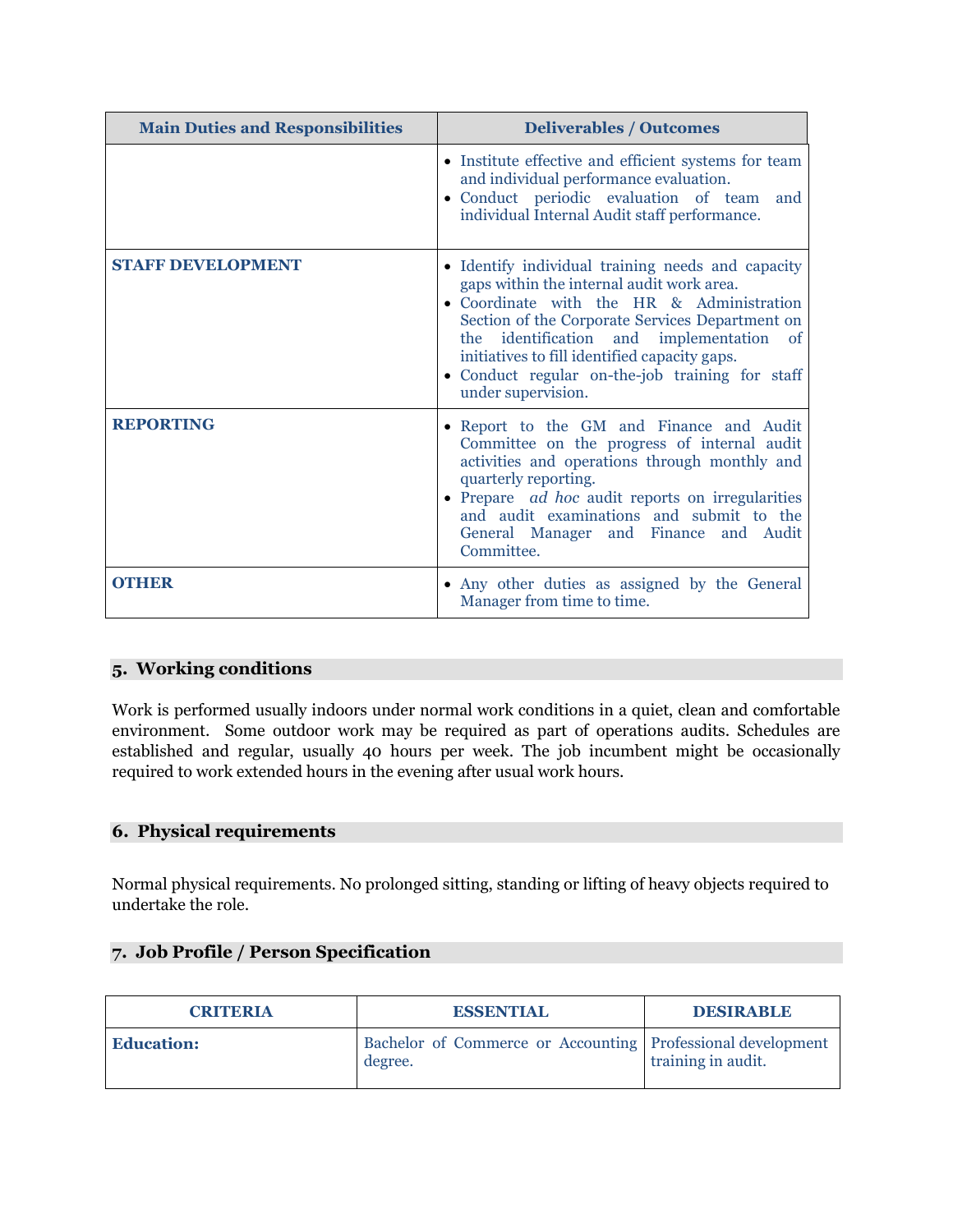| <b>Main Duties and Responsibilities</b> | <b>Deliverables / Outcomes</b>                                                                                                                                                                                                                                                                                                                                       |  |
|-----------------------------------------|----------------------------------------------------------------------------------------------------------------------------------------------------------------------------------------------------------------------------------------------------------------------------------------------------------------------------------------------------------------------|--|
|                                         | • Institute effective and efficient systems for team<br>and individual performance evaluation.<br>· Conduct periodic evaluation of team<br>and<br>individual Internal Audit staff performance.                                                                                                                                                                       |  |
| <b>STAFF DEVELOPMENT</b>                | • Identify individual training needs and capacity<br>gaps within the internal audit work area.<br>• Coordinate with the HR & Administration<br>Section of the Corporate Services Department on<br>the identification and implementation of<br>initiatives to fill identified capacity gaps.<br>· Conduct regular on-the-job training for staff<br>under supervision. |  |
| <b>REPORTING</b>                        | • Report to the GM and Finance and Audit<br>Committee on the progress of internal audit<br>activities and operations through monthly and<br>quarterly reporting.<br>• Prepare <i>ad hoc</i> audit reports on irregularities<br>and audit examinations and submit to the<br>General Manager and Finance and Audit<br>Committee.                                       |  |
| <b>OTHER</b>                            | • Any other duties as assigned by the General<br>Manager from time to time.                                                                                                                                                                                                                                                                                          |  |

## **5. Working conditions**

Work is performed usually indoors under normal work conditions in a quiet, clean and comfortable environment. Some outdoor work may be required as part of operations audits. Schedules are established and regular, usually 40 hours per week. The job incumbent might be occasionally required to work extended hours in the evening after usual work hours.

## **6. Physical requirements**

Normal physical requirements. No prolonged sitting, standing or lifting of heavy objects required to undertake the role.

# **7. Job Profile / Person Specification**

| <b>CRITERIA</b>   | <b>ESSENTIAL</b>                                                       | <b>DESIRABLE</b>   |
|-------------------|------------------------------------------------------------------------|--------------------|
| <b>Education:</b> | Bachelor of Commerce or Accounting Professional development<br>degree. | training in audit. |